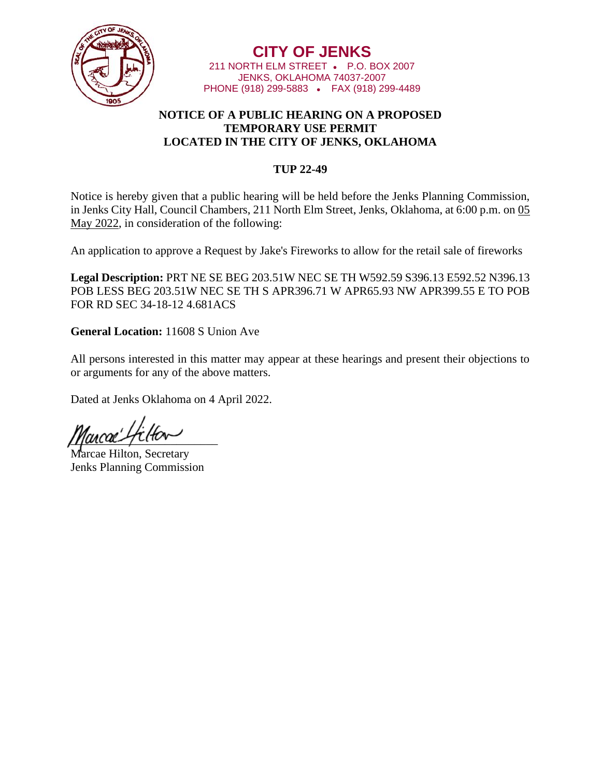

**CITY OF JENKS** 211 NORTH ELM STREET • P.O. BOX 2007 JENKS, OKLAHOMA 74037-2007 PHONE (918) 299-5883 • FAX (918) 299-4489

## **NOTICE OF A PUBLIC HEARING ON A PROPOSED TEMPORARY USE PERMIT LOCATED IN THE CITY OF JENKS, OKLAHOMA**

## **TUP 22-49**

Notice is hereby given that a public hearing will be held before the Jenks Planning Commission, in Jenks City Hall, Council Chambers, 211 North Elm Street, Jenks, Oklahoma, at 6:00 p.m. on 05 May 2022, in consideration of the following:

An application to approve a Request by Jake's Fireworks to allow for the retail sale of fireworks

**Legal Description:** PRT NE SE BEG 203.51W NEC SE TH W592.59 S396.13 E592.52 N396.13 POB LESS BEG 203.51W NEC SE TH S APR396.71 W APR65.93 NW APR399.55 E TO POB FOR RD SEC 34-18-12 4.681ACS

**General Location:** 11608 S Union Ave

All persons interested in this matter may appear at these hearings and present their objections to or arguments for any of the above matters.

Dated at Jenks Oklahoma on 4 April 2022.

 $\eta$ ancae gu $\tau$ 

Marcae Hilton, Secretary Jenks Planning Commission